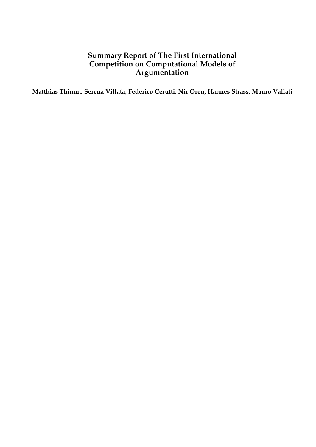# **Summary Report of The First International Competition on Computational Models of Argumentation**

**Matthias Thimm, Serena Villata, Federico Cerutti, Nir Oren, Hannes Strass, Mauro Vallati**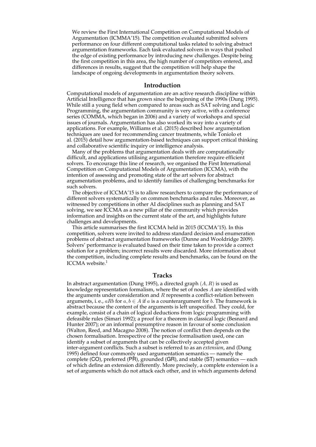We review the First International Competition on Computational Models of Argumentation (ICMMA'15). The competition evaluated submitted solvers performance on four different computational tasks related to solving abstract argumentation frameworks. Each task evaluated solvers in ways that pushed the edge of existing performance by introducing new challenges. Despite being the first competition in this area, the high number of competitors entered, and differences in results, suggest that the competition will help shape the landscape of ongoing developments in argumentation theory solvers.

#### **Introduction**

Computational models of argumentation are an active research discipline within Artificial Intelligence that has grown since the beginning of the 1990s (Dung 1995). While still a young field when compared to areas such as SAT solving and Logic Programming, the argumentation community is very active, with a conference series (COMMA, which began in 2006) and a variety of workshops and special issues of journals. Argumentation has also worked its way into a variety of applications. For example, Williams et al. (2015) described how argumentation techniques are used for recommending cancer treatments, while Toniolo et al. (2015) detail how argumentation-based techniques can support critical thinking and collaborative scientific inquiry or intelligence analysis.

Many of the problems that argumentation deals with are computationally difficult, and applications utilising argumentation therefore require efficient solvers. To encourage this line of research, we organised the First International Competition on Computational Models of Argumentation (ICCMA), with the intention of assessing and promoting state of the art solvers for abstract argumentation problems, and to identify families of challenging benchmarks for such solvers.

The objective of ICCMA'15 is to allow researchers to compare the performance of different solvers systematically on common benchmarks and rules. Moreover, as witnessed by competitions in other AI disciplines such as planning and SAT solving, we see ICCMA as a new pillar of the community which provides information and insights on the current state of the art, and highlights future challenges and developments.

This article summarises the first ICCMA held in 2015 (ICCMA'15). In this competition, solvers were invited to address standard decision and enumeration problems of abstract argumentation frameworks (Dunne and Wooldridge 2009). Solvers' performance is evaluated based on their time taken to provide a correct solution for a problem; incorrect results were discarded. More information about the competition, including complete results and benchmarks, can be found on the ICCMA website.<sup>1</sup>

### **Tracks**

In abstract argumentation (Dung 1995), a directed graph  $(A, R)$  is used as knowledge representation formalism, where the set of nodes A are identified with the arguments under consideration and  $R$  represents a conflict-relation between arguments, i. e.,  $aRb$  for  $a, b \in A$  if  $a$  is a counterargument for  $b$ . The framework is abstract because the content of the arguments is left unspecified. They could, for example, consist of a chain of logical deductions from logic programming with defeasible rules (Simari 1992); a proof for a theorem in classical logic (Besnard and Hunter 2007); or an informal presumptive reason in favour of some conclusion (Walton, Reed, and Macagno 2008). The notion of conflict then depends on the chosen formalisation. Irrespective of the precise formalisation used, one can identify a subset of arguments that can be collectively accepted given inter-argument conflicts. Such a subset is referred to as an *extension*, and (Dung 1995) defined four commonly used argumentation semantics — namely the complete (CO), preferred ( $\overrightarrow{PR}$ ), grounded (GR), and stable (ST) semantics — each of which define an extension differently. More precisely, a complete extension is a set of arguments which do not attack each other, and in which arguments defend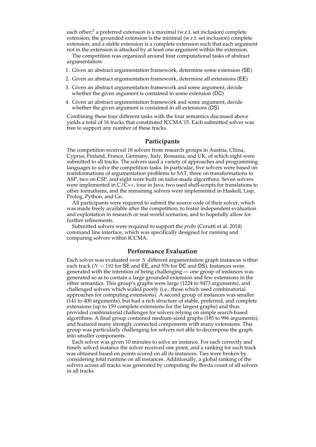each other;<sup>2</sup> a preferred extension is a maximal (w.r.t. set inclusion) complete extension; the grounded extension is the minimal (w.r.t. set inclusion) complete extension; and a stable extension is a complete extension such that each argument not in the extension is attacked by at least one argument within the extension.

The competition was organized around four computational tasks of abstract argumentation:

- 1. Given an abstract argumentation framework, determine some extension (SE)
- 2. Given an abstract argumentation framework, determine all extensions (EE)
- 3. Given an abstract argumentation framework and some argument, decide whether the given argument is contained in some extension (DC)
- 4. Given an abstract argumentation framework and some argument, decide whether the given argument is contained in all extensions (DS)

Combining these four different tasks with the four semantics discussed above yields a total of 16 tracks that constituted ICCMA'15. Each submitted solver was free to support any number of these tracks.

#### **Participants**

The competition received 18 solvers from research groups in Austria, China, Cyprus, Finland, France, Germany, Italy, Romania, and UK, of which eight were submitted to all tracks. The solvers used a variety of approaches and programming languages to solve the competition tasks. In particular, five solvers were based on transformations of argumentation problems to SAT, three on transformations to ASP, two on CSP, and eight were built on tailor-made algorithms. Seven solvers were implemented in  $C/\tilde{C}$ ++, four in Java, two used shell-scripts for translations to other formalisms, and the remaining solvers were implemented in Haskell, Lisp, Prolog, Python, and Go.

All participants were required to submit the source code of their solver, which was made freely available after the competition, to foster independent evaluation and exploitation in research or real-world scenarios, and to hopefully allow for further refinements.

Submitted solvers were required to support the *probo* (Cerutti et al. 2014) command line interface, which was specifically designed for running and comparing solvers within ICCMA.

#### **Performance Evaluation**

Each solver was evaluated over  $N$  different argumentation graph instances within each track ( $N = 192$  for SE and EE, and 576 for DC and DS). Instances were generated with the intention of being challenging — one group of instances was generated so as to contain a large grounded extension and few extensions in the other semantics. This group's graphs were large (1224 to 9473 arguments), and challenged solvers which scaled poorly (i.e., those which used combinatorial approaches for computing extensions). A second group of instances was smaller  $(141$  to 400 arguments), but had a rich structure of stable, preferred, and complete extensions (up to 159 complete extensions for the largest graphs) and thus provided combinatorial challenges for solvers relying on simple search-based algorithms. A final group contained medium-sized graphs (185 to 996 arguments), and featured many strongly connected components with many extensions. This group was particularly challenging for solvers not able to decompose the graph into smaller components.

Each solver was given 10 minutes to solve an instance. For each correctly and timely solved instance the solver received one point, and a ranking for each track was obtained based on points scored on all its instances. Ties were broken by considering total runtime on all instances. Additionally, a global ranking of the solvers across all tracks was generated by computing the Borda count of all solvers in all tracks.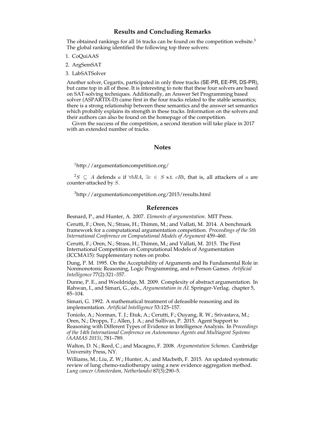## **Results and Concluding Remarks**

The obtained rankings for all 16 tracks can be found on the competition website.<sup>3</sup> The global ranking identified the following top three solvers:

1. CoQuiAAS

2. ArgSemSAT

3. LabSATSolver

Another solver, Cegartix, participated in only three tracks (SE-PR, EE-PR, DS-PR), but came top in all of these. It is interesting to note that these four solvers are based on SAT-solving techniques. Additionally, an Answer Set Programming based solver (ASPARTIX-D) came first in the four tracks related to the stable semantics; there is a strong relationship between these semantics and the answer set semantics which probably explains its strength in these tracks. Information on the solvers and their authors can also be found on the homepage of the competition.

Given the success of the competition, a second iteration will take place in 2017 with an extended number of tracks.

#### **Notes**

<sup>1</sup>http://argumentationcompetition.org/

<sup>2</sup>S ⊂ A defends a if  $\forall bRA$ ,  $\exists c \in S$  s.t. cRb, that is, all attackers of a are counter-attacked by S.

<sup>3</sup>http://argumentationcompetition.org/2015/results.html

## **References**

Besnard, P., and Hunter, A. 2007. *Elements of argumentation*. MIT Press.

Cerutti, F.; Oren, N.; Strass, H.; Thimm, M.; and Vallati, M. 2014. A benchmark framework for a computational argumentation competition. *Proceedings of the 5th International Conference on Computational Models of Argument* 459–460.

Cerutti, F.; Oren, N.; Strass, H.; Thimm, M.; and Vallati, M. 2015. The First International Competition on Computational Models of Argumentation (ICCMA15): Supplementary notes on probo.

Dung, P. M. 1995. On the Acceptability of Arguments and Its Fundamental Role in Nonmonotonic Reasoning, Logic Programming, and n-Person Games. *Artificial Intelligence* 77(2):321–357.

Dunne, P. E., and Wooldridge, M. 2009. Complexity of abstract argumentation. In Rahwan, I., and Simari, G., eds., *Argumentation in AI*. Springer-Verlag. chapter 5, 85–104.

Simari, G. 1992. A mathematical treatment of defeasible reasoning and its implementation. *Artificial Intelligence* 53:125–157.

Toniolo, A.; Norman, T. J.; Etuk, A.; Cerutti, F.; Ouyang, R. W.; Srivastava, M.; Oren, N.; Dropps, T.; Allen, J. A.; and Sullivan, P. 2015. Agent Support to Reasoning with Different Types of Evidence in Intelligence Analysis. In *Proceedings of the 14th International Conference on Autonomous Agents and Multiagent Systems (AAMAS 2015)*, 781–789.

Walton, D. N.; Reed, C.; and Macagno, F. 2008. *Argumentation Schemes*. Cambridge University Press, NY.

Williams, M.; Liu, Z. W.; Hunter, A.; and Macbeth, F. 2015. An updated systematic review of lung chemo-radiotherapy using a new evidence aggregation method. *Lung cancer (Amsterdam, Netherlands)* 87(3):290–5.